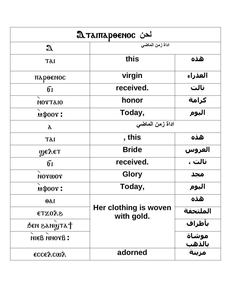| <u>λ TλιπλρθεΝος</u> |                                     |                        |
|----------------------|-------------------------------------|------------------------|
| $\mathfrak A$        | اداة زمن الماضى                     |                        |
| Tdi                  | this                                | هذه                    |
| пароенос             | virgin                              | العذراء                |
| 61                   | received.                           | نالت                   |
| <b>NOTTAIO</b>       | honor                               | كرامة                  |
| <b>мфоот:</b>        | Today,                              | اليوم                  |
| $\lambda$            | اداة زمن الماضى                     |                        |
| Tdl                  | , this                              | هذه                    |
| <b>Феуед</b>         | <b>Bride</b>                        | العروس                 |
| $\mathbf{6}$         | received.                           | نالت ،                 |
| NOTWOT               | <b>Glory</b>                        | مجد                    |
| <b>μφοον:</b>        | Today,                              | اليوم                  |
| $\theta$             |                                     | هذه                    |
| <b>SVOXT3</b>        | Her clothing is woven<br>with gold. | الملتحفة               |
| SEN SANWTAT          |                                     | بأطراف                 |
| <b>SYONN BEHI</b>    |                                     | موشاة                  |
| <b>εςςελςωλ</b>      | adorned                             | <u>بالذهب</u><br>مزينة |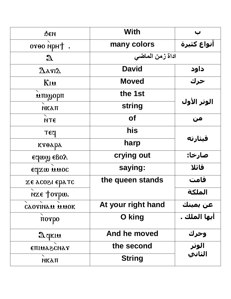| ФEИ                              | With               |              |
|----------------------------------|--------------------|--------------|
| oroo npH+ .                      | many colors        | أنواع كثيرة  |
| $\mathfrak{A}$                   | اداة زمن الماضى    |              |
| $\bm{\Delta}$ arı $\bm{\lambda}$ | <b>David</b>       | داود         |
| Kiu                              | <b>Moved</b>       | حرك          |
| мпидорп                          | the 1st            |              |
| <b>МКАП</b>                      | string             | الوتر الأول  |
| <b>NTE</b>                       | <b>of</b>          | من           |
| $T_{c}$                          | his                |              |
| ктөара                           | harp               | قىثارتە      |
| eclaw egoy                       | crying out         | صارخا:       |
| edxm mnoc                        | saying:            | قائلا        |
| эт даз 1900 года                 | the queen stands   | قامت         |
| NXE Torpw.                       |                    | الملكة       |
| CAOTINAM MUOK                    | At your right hand | عن يمينك     |
| $\pi$ orpo                       | O king             | أيها الملك . |
| $\mathfrak{A}$ gkin              | And he moved       | وحرك         |
| <b>ETILLASCNAY</b>               | the second         | الوتر        |
| <b>МКАП</b>                      | <b>String</b>      | الثاني       |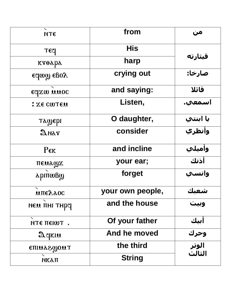| <b>NTE</b>                         | from             | من       |
|------------------------------------|------------------|----------|
| TEC                                | <b>His</b>       |          |
| ктөара                             | harp             | قىثارتە  |
| edmm egoy                          | crying out       | صارخا:   |
| edxm mnoc                          | and saying:      | قائلا    |
| : XE CWLEN                         | Listen,          | اسمعي.   |
| ташері                             | O daughter,      | يا ابنتي |
| $\mathfrak A$ nar                  | consider         | وأنظري   |
| $P_{\text{EK}}$                    | and incline      | وأميلي   |
| пемаша                             | your ear;        | أذنك     |
| <b>аріпфву</b>                     | forget           | وانسي    |
| <b>ΜΠΕλλος</b>                     | your own people, | شعىك     |
| нем пни тнра                       | and the house    | وبيب     |
| ЛТЕ ПЕКОТ.                         | Of your father   | أبيك     |
| $\mathfrak{gl}\times \mathfrak{m}$ | And he moved     | وحرك     |
| <b>ETHUASWOUT</b>                  | the third        | الوتر    |
| <b>МКАП</b>                        | <b>String</b>    | الثالث   |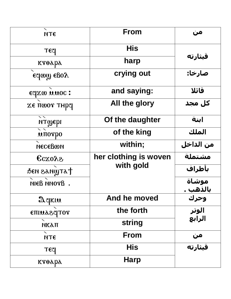| <b>NTE</b>                      | <b>From</b>           | من                       |
|---------------------------------|-----------------------|--------------------------|
| <b>TECI</b>                     | <b>His</b>            |                          |
| ктөара                          | harp                  | قىثارتە                  |
| edmm egoy                       | crying out            | صارخا:                   |
| edxm mnoc:                      | and saying:           | قائلا                    |
| <b>ΣΕ ΠωΟΥ ΤΗΡΥ</b>             | All the glory         | کل مجد                   |
| итуері                          | Of the daughter       | ابنة                     |
| $\mathbf{M}$ TOT $\mathbf{p}$ O | of the king           | الملك                    |
| месевом                         | within;               | من الداخل                |
| <b>CCXOA2</b>                   | her clothing is woven | مشتملة                   |
| BEN SANWTAT                     | with gold             | بأطراف                   |
| . Bronn Bain                    |                       | موشاة<br><u>بالذهب .</u> |
| Aqkiu                           | And he moved          | وحرك                     |
| <b>TOTPSSMITE</b>               | the forth             | <mark>الوتر</mark>       |
| <b>МКАП</b>                     | string                | الرابعَ                  |
| <b>NTE</b>                      | From                  | من                       |
| <b>TECI</b>                     | <b>His</b>            |                          |
| ктөара                          | <b>Harp</b>           |                          |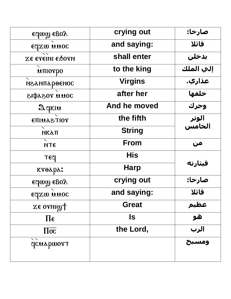| edmm egoy                | crying out     | صارخا:     |
|--------------------------|----------------|------------|
| edxm mnoc                | and saying:    | قائلا      |
| XE ETEINI ESOTN          | shall enter    | يدخلن      |
| <b>мпютро</b>            | to the king    | إلي الملك  |
| педипароснос             | <b>Virgins</b> | عذاري.     |
| <b>JOUU TOSSQIS</b>      | after her      | خلفها      |
| Delkin                   | And he moved   | وحرك       |
| <b>TOITSSUITE</b>        | the fifth      | الوتر      |
| <b>МКАП</b>              | <b>String</b>  | الخامس     |
| <b>NTE</b>               | From           | من         |
| TEC                      | <b>His</b>     |            |
| ктөара:                  | <b>Harp</b>    | قىثارتە    |
| ε αρως εβολ              | crying out     | صارخا:     |
| edxm wwoc                | and saying:    | قائلا      |
| <b>ZE OTNIWT</b>         | <b>Great</b>   |            |
| $\Pi \epsilon$           | <b>S</b>       | عظیم<br>هو |
| $\Pi\overline{\sigma c}$ | the Lord,      | الرب       |
| qcuapwort                |                | ومسبح      |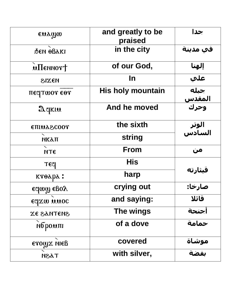| ensmo                         | and greatly to be<br>praised | جدا                   |
|-------------------------------|------------------------------|-----------------------|
| бен өвакі                     | in the city                  | في مدينة              |
| $\mathbf{u}$ Пеннот $\dagger$ | of our God,                  | إلهنا                 |
| <b>MEXIS</b>                  | <u>In</u>                    | علي                   |
| πεςτωοτ εθτ                   | <b>His holy mountain</b>     | جبله                  |
| Aqkiu                         | And he moved                 | <u>المقدس</u><br>وحرك |
| <b>CHIMA2COOY</b>             | the sixth                    | الوتر<br>السادس       |
| <b>МКАП</b>                   | <b>string</b>                |                       |
| <b>NTE</b>                    | <b>From</b>                  | من                    |
| <b>TECI</b>                   | <b>His</b>                   |                       |
| ктөара:                       | harp                         | قىثارتە               |
| edmm egoy                     | crying out                   | صارخا:                |
| edxm wwoc                     | and saying:                  | قائلا                 |
| <b>SHETHAS 3X</b>             | The wings                    | اجنحة                 |
| <b>мбромпі</b>                | of a dove                    | حمامة                 |
| erow x MeB                    | covered                      | موشاة                 |
| TSSH                          | with silver,                 | تفضة                  |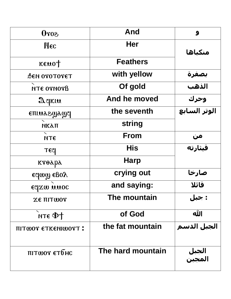| <b>SorO</b>         | <b>And</b>        | 9               |
|---------------------|-------------------|-----------------|
| Mec                 | <b>Her</b>        |                 |
|                     |                   | منكباها         |
| keno <sub>1</sub>   | <b>Feathers</b>   |                 |
| <b>DEN OTOTOTET</b> | with yellow       | بصفرة           |
| <b>NTE OTNOTH</b>   | Of gold           | الذهب           |
| Aqkiu               | And he moved      | وحرك            |
| eniudewayq          | the seventh       | الوتر السابع    |
| <b>МКАП</b>         | string            |                 |
| <b>NTE</b>          | <b>From</b>       | من              |
| <b>TECI</b>         | <b>His</b>        | قىثارتە         |
| ктөара              | <b>Harp</b>       |                 |
| edmm egoy           | crying out        | صارخا           |
| edxm mnoc           | and saying:       | قائلا           |
| <b>ZE TIITWOT</b>   | The mountain      | : جبل           |
| $MT \in \Phi +$     | of God            | الله            |
| TIITWOT ETKENIWOTT: | the fat mountain  | الجبل الدسم     |
| пітшот єтбнс        | The hard mountain | الجبل<br>المجبن |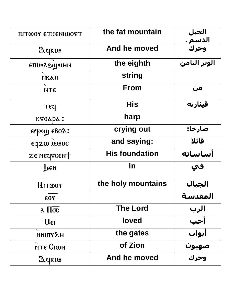| <b>ΠΙΤωΟΥ ΕΤΚΕΝΙωΟΥΤ</b>              | the fat mountain      | الجبل                  |
|---------------------------------------|-----------------------|------------------------|
| Aqkiu                                 | And he moved          | <u>الدسم .</u><br>وحرك |
| <b>ЕПІМАЗФИНИ</b>                     | the eighth            | الوتر الثامن           |
| <b>МКАП</b>                           | string                |                        |
| <b>NTE</b>                            | From                  | من                     |
| <b>TECI</b>                           | <b>His</b>            | قىثارتە                |
| $\kappa r \theta \lambda p \lambda$ : | harp                  |                        |
| edmm egoy:                            | crying out            | صارخا:                 |
| edxm wwoc                             | and saying:           | قائلا                  |
| <b>ZE NECTICENT</b>                   | <b>His foundation</b> | أساساته                |
| реи                                   | <u>In</u>             | في                     |
| MITWOT                                | the holy mountains    | الجبال                 |
| $\epsilon$ $\theta$ $\gamma$          |                       | المقدسة                |
| $\lambda \Pi \overline{\sigma c}$     | <b>The Lord</b>       | الرب                   |
| $U_{\epsilon I}$                      | <b>loved</b>          | أحب                    |
| <b>МИПТТАН</b>                        | the gates             | أبواب                  |
| NTE CIWN                              | of Zion               | صهيون                  |
| Aqkiu                                 | And he moved          |                        |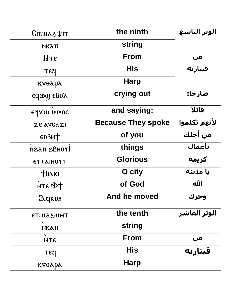| <b>CHIMASTILE</b>           | the ninth                 | الوتر التاسع         |
|-----------------------------|---------------------------|----------------------|
| <b>МКАП</b>                 | <b>string</b>             |                      |
| Итє                         | From                      | من                   |
| <b>TECI</b>                 | <b>His</b>                | <mark>قیثارته</mark> |
| ктөара                      | <b>Harp</b>               |                      |
| edmm egoy                   | crying out                | صارخا:               |
| εσχω ππος                   | and saying:               | قائلا                |
| Χε λγς γι                   | <b>Because They spoke</b> | لأنهم تكلموا         |
| $\epsilon$ <sup>O</sup> BHT | of you                    | من أجلك              |
| <b>ITOHAS NASN</b>          | things                    | بأعمال               |
| <b>ΕΥΤΑΙΗΟΥΤ</b>            | <b>Glorious</b>           | كريمة                |
| <b>TBAKI</b>                | O city                    | يا مدينة             |
| $nT \in \Phi$               | of God                    | الله                 |
| Aqkıu                       | And he moved              | وحرك                 |
| <b>THUSSUITE</b>            | the tenth                 | الوتر العاشر         |
| <b>МКАП</b>                 | string                    |                      |
| <b>NTE</b>                  | From                      | من                   |
| TECI                        | <b>His</b>                | <mark>قىثارتە</mark> |
| ктөара                      | <b>Harp</b>               |                      |